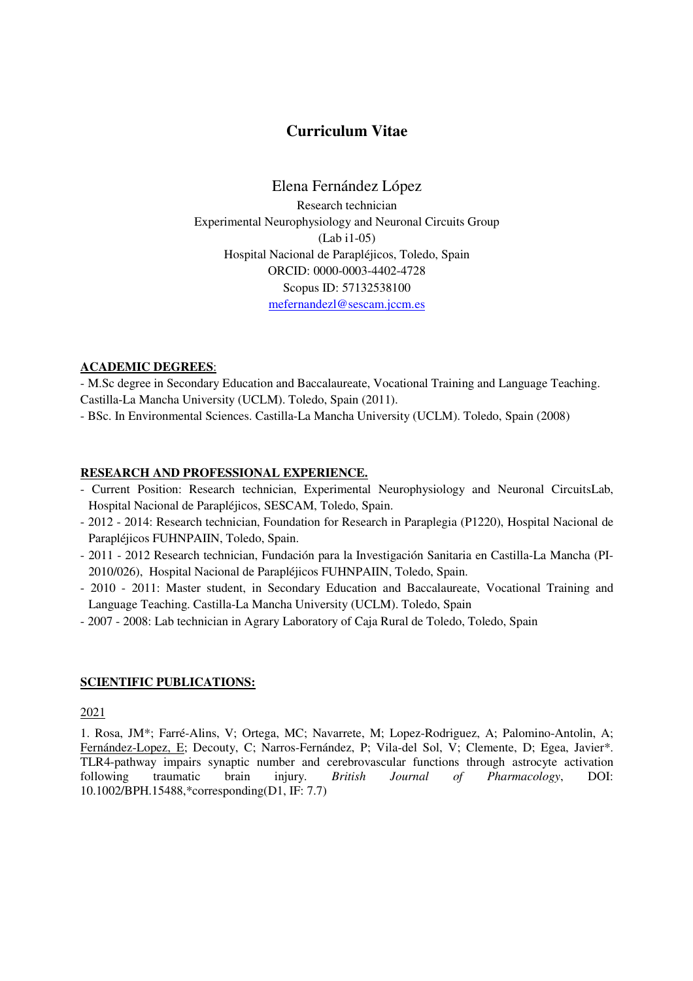# **Curriculum Vitae**

Elena Fernández López Research technician Experimental Neurophysiology and Neuronal Circuits Group (Lab i1-05) Hospital Nacional de Parapléjicos, Toledo, Spain ORCID: 0000-0003-4402-4728 Scopus ID: 57132538100 mefernandezl@sescam.jccm.es

# **ACADEMIC DEGREES**:

- M.Sc degree in Secondary Education and Baccalaureate, Vocational Training and Language Teaching. Castilla-La Mancha University (UCLM). Toledo, Spain (2011).

- BSc. In Environmental Sciences. Castilla-La Mancha University (UCLM). Toledo, Spain (2008)

# **RESEARCH AND PROFESSIONAL EXPERIENCE.**

- Current Position: Research technician, Experimental Neurophysiology and Neuronal CircuitsLab, Hospital Nacional de Parapléjicos, SESCAM, Toledo, Spain.
- 2012 2014: Research technician, Foundation for Research in Paraplegia (P1220), Hospital Nacional de Parapléjicos FUHNPAIIN, Toledo, Spain.
- 2011 2012 Research technician, Fundación para la Investigación Sanitaria en Castilla-La Mancha (PI-2010/026), Hospital Nacional de Parapléjicos FUHNPAIIN, Toledo, Spain.
- 2010 2011: Master student, in Secondary Education and Baccalaureate, Vocational Training and Language Teaching. Castilla-La Mancha University (UCLM). Toledo, Spain
- 2007 2008: Lab technician in Agrary Laboratory of Caja Rural de Toledo, Toledo, Spain

#### **SCIENTIFIC PUBLICATIONS:**

2021

1. Rosa, JM\*; Farré-Alins, V; Ortega, MC; Navarrete, M; Lopez-Rodriguez, A; Palomino-Antolin, A; Fernández-Lopez, E; Decouty, C; Narros-Fernández, P; Vila-del Sol, V; Clemente, D; Egea, Javier\*. TLR4-pathway impairs synaptic number and cerebrovascular functions through astrocyte activation following traumatic brain injury. *British Journal of Pharmacology*, DOI: 10.1002/BPH.15488,\*corresponding(D1, IF: 7.7)